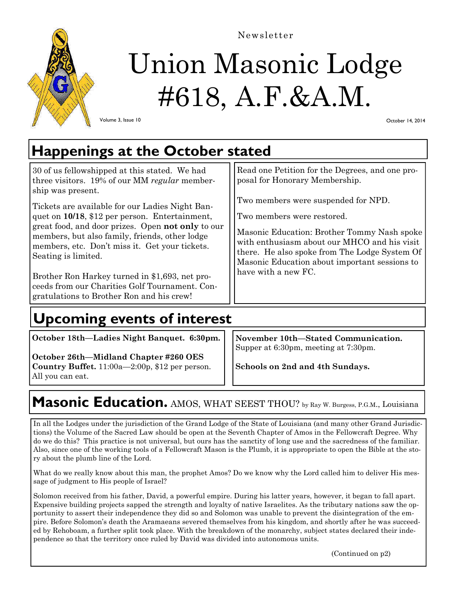

Newsletter

# Union Masonic Lodge #618, A.F.&A.M.

Volume 3, Issue 10

October 14, 2014

## **Happenings at the October stated**

30 of us fellowshipped at this stated. We had three visitors. 19% of our MM *regular* membership was present.

Tickets are available for our Ladies Night Banquet on **10/18**, \$12 per person. Entertainment, great food, and door prizes. Open **not only** to our members, but also family, friends, other lodge members, etc. Don't miss it. Get your tickets. Seating is limited.

Brother Ron Harkey turned in \$1,693, net proceeds from our Charities Golf Tournament. Congratulations to Brother Ron and his crew!

# **Upcoming events of interest**

**October 18th—Ladies Night Banquet. 6:30pm.** 

**October 26th—Midland Chapter #260 OES Country Buffet.** 11:00a—2:00p, \$12 per person. All you can eat.

**November 10th—Stated Communication.** 

Read one Petition for the Degrees, and one pro-

Masonic Education: Brother Tommy Nash spoke with enthusiasm about our MHCO and his visit there. He also spoke from The Lodge System Of Masonic Education about important sessions to

posal for Honorary Membership.

Two members were restored.

have with a new FC.

Two members were suspended for NPD.

Supper at 6:30pm, meeting at 7:30pm.

**Schools on 2nd and 4th Sundays.** 

#### **Masonic Education.** AMOS, WHAT SEEST THOU? by Ray W. Burgess, P.G.M., Louisiana

In all the Lodges under the jurisdiction of the Grand Lodge of the State of Louisiana (and many other Grand Jurisdictions) the Volume of the Sacred Law should be open at the Seventh Chapter of Amos in the Fellowcraft Degree. Why do we do this? This practice is not universal, but ours has the sanctity of long use and the sacredness of the familiar. Also, since one of the working tools of a Fellowcraft Mason is the Plumb, it is appropriate to open the Bible at the story about the plumb line of the Lord.

What do we really know about this man, the prophet Amos? Do we know why the Lord called him to deliver His message of judgment to His people of Israel?

Solomon received from his father, David, a powerful empire. During his latter years, however, it began to fall apart. Expensive building projects sapped the strength and loyalty of native Israelites. As the tributary nations saw the opportunity to assert their independence they did so and Solomon was unable to prevent the disintegration of the empire. Before Solomon's death the Aramaeans severed themselves from his kingdom, and shortly after he was succeeded by Rehoboam, a further split took place. With the breakdown of the monarchy, subject states declared their independence so that the territory once ruled by David was divided into autonomous units.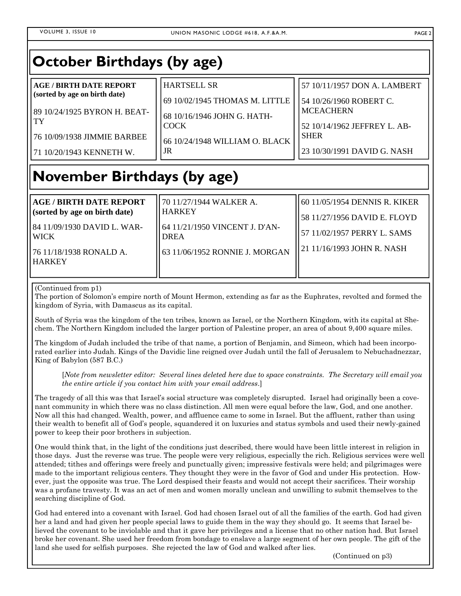### **October Birthdays (by age)**

| <b>AGE / BIRTH DATE REPORT</b>       | <b>HARTSELL SR</b>                    | 57 10/11/1957 DON A. LAMBERT                     |
|--------------------------------------|---------------------------------------|--------------------------------------------------|
| (sorted by age on birth date)        | 69 10/02/1945 THOMAS M. LITTLE        | 54 10/26/1960 ROBERT C.                          |
| 89 10/24/1925 BYRON H. BEAT-<br>l TY | 68 10/16/1946 JOHN G. HATH-<br>l COCK | <b>MCEACHERN</b><br>52 10/14/1962 JEFFREY L. AB- |
| 76 10/09/1938 JIMMIE BARBEE          | 66 10/24/1948 WILLIAM O. BLACK        | <b>SHER</b>                                      |
| 171 10/20/1943 KENNETH W.            | JR                                    | 23 10/30/1991 DAVID G. NASH                      |

# **November Birthdays (by age)**

| <b>AGE / BIRTH DATE REPORT</b><br>(sorted by age on birth date) | 70 11/27/1944 WALKER A.<br><b>HARKEY</b>       | 60 11/05/1954 DENNIS R. KIKER<br>58 11/27/1956 DAVID E. FLOYD |
|-----------------------------------------------------------------|------------------------------------------------|---------------------------------------------------------------|
| 184 11/09/1930 DAVID L. WAR-<br>l WICK-                         | 164 11/21/1950 VINCENT J. D'AN-<br><b>DREA</b> | 57 11/02/1957 PERRY L. SAMS                                   |
| 76 11/18/1938 RONALD A.<br><b>HARKEY</b>                        | 63 11/06/1952 RONNIE J. MORGAN                 | 21 11/16/1993 JOHN R. NASH                                    |

(Continued from p1)

The portion of Solomon's empire north of Mount Hermon, extending as far as the Euphrates, revolted and formed the kingdom of Syria, with Damascus as its capital.

South of Syria was the kingdom of the ten tribes, known as Israel, or the Northern Kingdom, with its capital at Shechem. The Northern Kingdom included the larger portion of Palestine proper, an area of about 9,400 square miles.

The kingdom of Judah included the tribe of that name, a portion of Benjamin, and Simeon, which had been incorporated earlier into Judah. Kings of the Davidic line reigned over Judah until the fall of Jerusalem to Nebuchadnezzar, King of Babylon (587 B.C.)

[*Note from newsletter editor: Several lines deleted here due to space constraints. The Secretary will email you the entire article if you contact him with your email address*.]

The tragedy of all this was that Israel's social structure was completely disrupted. Israel had originally been a covenant community in which there was no class distinction. All men were equal before the law, God, and one another. Now all this had changed. Wealth, power, and affluence came to some in Israel. But the affluent, rather than using their wealth to benefit all of God's people, squandered it on luxuries and status symbols and used their newly-gained power to keep their poor brothers in subjection.

One would think that, in the light of the conditions just described, there would have been little interest in religion in those days. Just the reverse was true. The people were very religious, especially the rich. Religious services were well attended; tithes and offerings were freely and punctually given; impressive festivals were held; and pilgrimages were made to the important religious centers. They thought they were in the favor of God and under His protection. However, just the opposite was true. The Lord despised their feasts and would not accept their sacrifices. Their worship was a profane travesty. It was an act of men and women morally unclean and unwilling to submit themselves to the searching discipline of God.

God had entered into a covenant with Israel. God had chosen Israel out of all the families of the earth. God had given her a land and had given her people special laws to guide them in the way they should go. It seems that Israel believed the covenant to be inviolable and that it gave her privileges and a license that no other nation had. But Israel broke her covenant. She used her freedom from bondage to enslave a large segment of her own people. The gift of the land she used for selfish purposes. She rejected the law of God and walked after lies.

(Continued on p3)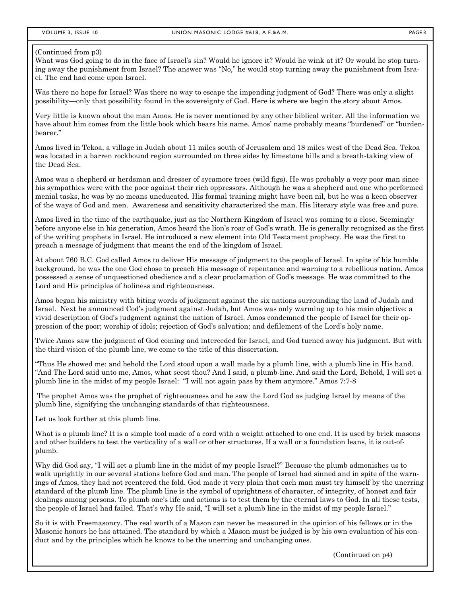#### (Continued from p3)

What was God going to do in the face of Israel's sin? Would he ignore it? Would he wink at it? Or would he stop turning away the punishment from Israel? The answer was "No," he would stop turning away the punishment from Israel. The end had come upon Israel.

Was there no hope for Israel? Was there no way to escape the impending judgment of God? There was only a slight possibility—only that possibility found in the sovereignty of God. Here is where we begin the story about Amos.

Very little is known about the man Amos. He is never mentioned by any other biblical writer. All the information we have about him comes from the little book which bears his name. Amos' name probably means "burdened" or "burdenbearer."

Amos lived in Tekoa, a village in Judah about 11 miles south of Jerusalem and 18 miles west of the Dead Sea. Tekoa was located in a barren rockbound region surrounded on three sides by limestone hills and a breath-taking view of the Dead Sea.

Amos was a shepherd or herdsman and dresser of sycamore trees (wild figs). He was probably a very poor man since his sympathies were with the poor against their rich oppressors. Although he was a shepherd and one who performed menial tasks, he was by no means uneducated. His formal training might have been nil, but he was a keen observer of the ways of God and men. Awareness and sensitivity characterized the man. His literary style was free and pure.

Amos lived in the time of the earthquake, just as the Northern Kingdom of Israel was coming to a close. Seemingly before anyone else in his generation, Amos heard the lion's roar of God's wrath. He is generally recognized as the first of the writing prophets in Israel. He introduced a new element into Old Testament prophecy. He was the first to preach a message of judgment that meant the end of the kingdom of Israel.

At about 760 B.C. God called Amos to deliver His message of judgment to the people of Israel. In spite of his humble background, he was the one God chose to preach His message of repentance and warning to a rebellious nation. Amos possessed a sense of unquestioned obedience and a clear proclamation of God's message. He was committed to the Lord and His principles of holiness and righteousness.

Amos began his ministry with biting words of judgment against the six nations surrounding the land of Judah and Israel. Next he announced Cod's judgment against Judah, but Amos was only warming up to his main objective: a vivid description of God's judgment against the nation of Israel. Amos condemned the people of Israel for their oppression of the poor; worship of idols; rejection of God's salvation; and defilement of the Lord's holy name.

Twice Amos saw the judgment of God coming and interceded for Israel, and God turned away his judgment. But with the third vision of the plumb line, we come to the title of this dissertation.

"Thus He showed me: and behold the Lord stood upon a wall made by a plumb line, with a plumb line in His hand. "And The Lord said unto me, Amos, what seest thou? And I said, a plumb-line. And said the Lord, Behold, I will set a plumb line in the midst of my people Israel: "I will not again pass by them anymore." Amos 7:7-8

 The prophet Amos was the prophet of righteousness and he saw the Lord God as judging Israel by means of the plumb line, signifying the unchanging standards of that righteousness.

Let us look further at this plumb line.

What is a plumb line? It is a simple tool made of a cord with a weight attached to one end. It is used by brick masons and other builders to test the verticality of a wall or other structures. If a wall or a foundation leans, it is out-ofplumb.

Why did God say, "I will set a plumb line in the midst of my people Israel?" Because the plumb admonishes us to walk uprightly in our several stations before God and man. The people of Israel had sinned and in spite of the warnings of Amos, they had not reentered the fold. God made it very plain that each man must try himself by the unerring standard of the plumb line. The plumb line is the symbol of uprightness of character, of integrity, of honest and fair dealings among persons. To plumb one's life and actions is to test them by the eternal laws to God. In all these tests, the people of Israel had failed. That's why He said, "I will set a plumb line in the midst of my people Israel."

So it is with Freemasonry. The real worth of a Mason can never be measured in the opinion of his fellows or in the Masonic honors he has attained. The standard by which a Mason must be judged is by his own evaluation of his conduct and by the principles which he knows to be the unerring and unchanging ones.

(Continued on p4)